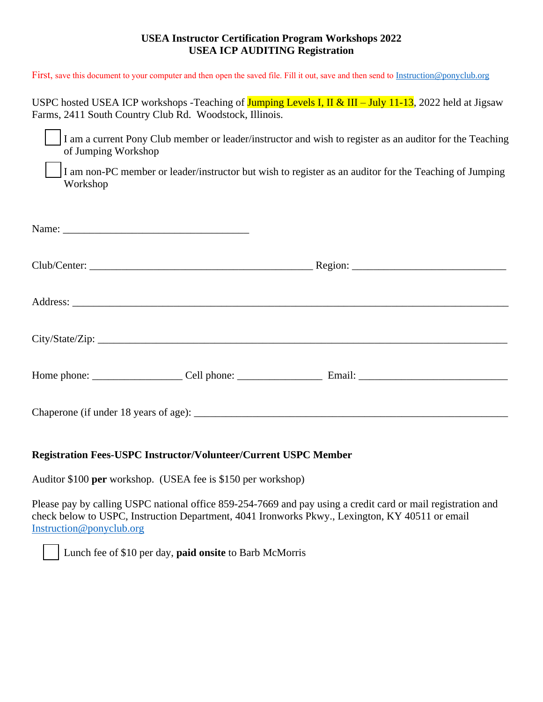## **USEA Instructor Certification Program Workshops 2022 USEA ICP AUDITING Registration**

First, save this document to your computer and then open the saved file. Fill it out, save and then send to [Instruction@ponyclub.org](mailto:Instruction@ponyclub.org)

USPC hosted USEA ICP workshops -Teaching of Jumping Levels I, II & III – July 11-13, 2022 held at Jigsaw Farms, 2411 South Country Club Rd. Woodstock, Illinois.

I am a current Pony Club member or leader/instructor and wish to register as an auditor for the Teaching of Jumping Workshop

I am non-PC member or leader/instructor but wish to register as an auditor for the Teaching of Jumping Workshop

## **Registration Fees-USPC Instructor/Volunteer/Current USPC Member**

Auditor \$100 **per** workshop. (USEA fee is \$150 per workshop)

Please pay by calling USPC national office 859-254-7669 and pay using a credit card or mail registration and check below to USPC, Instruction Department, 4041 Ironworks Pkwy., Lexington, KY 40511 or email [Instruction@ponyclub.org](mailto:Instruction@ponyclub.org)

Lunch fee of \$10 per day, **paid onsite** to Barb McMorris